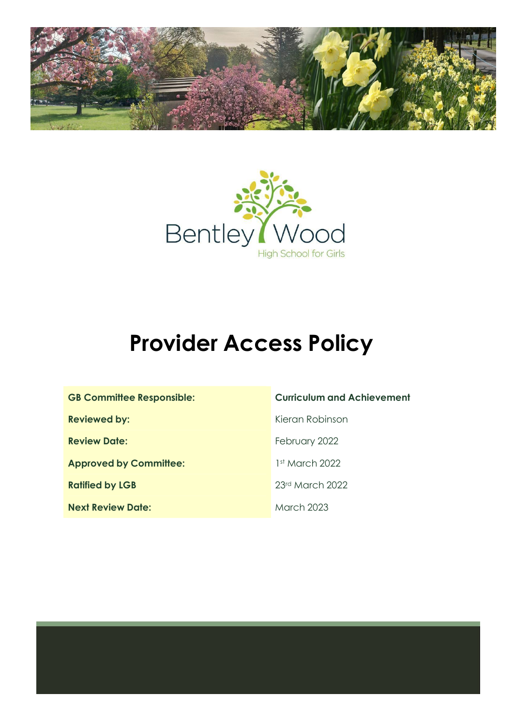



# **Provider Access Policy**

| <b>GB Committee Responsible:</b> |
|----------------------------------|
| <b>Reviewed by:</b>              |
| <b>Review Date:</b>              |
| <b>Approved by Committee:</b>    |
| <b>Ratified by LGB</b>           |
| <b>Next Review Date:</b>         |

#### **Curriculum and Achievement**

**Reviewed by:** Kieran Robinson

**February 2022** 

1st March 2022

**Ratified by LGB** 23rd March 2022

**March 2023**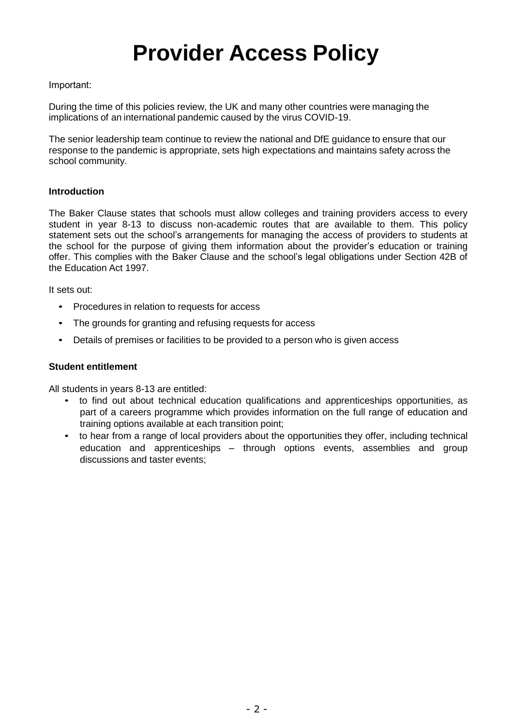## **Provider Access Policy**

#### Important:

During the time of this policies review, the UK and many other countries were managing the implications of an international pandemic caused by the virus COVID-19.

The senior leadership team continue to review the national and DfE guidance to ensure that our response to the pandemic is appropriate, sets high expectations and maintains safety across the school community.   

#### **Introduction**

The Baker Clause states that schools must allow colleges and training providers access to every student in year 8-13 to discuss non-academic routes that are available to them. This policy statement sets out the school's arrangements for managing the access of providers to students at the school for the purpose of giving them information about the provider's education or training offer. This complies with the Baker Clause and the school's legal obligations under Section 42B of the Education Act 1997.

It sets out:

- Procedures in relation to requests for access
- The grounds for granting and refusing requests for access
- Details of premises or facilities to be provided to a person who is given access

#### **Student entitlement**

All students in years 8-13 are entitled:

- to find out about technical education qualifications and apprenticeships opportunities, as part of a careers programme which provides information on the full range of education and training options available at each transition point;
- to hear from a range of local providers about the opportunities they offer, including technical education and apprenticeships – through options events, assemblies and group discussions and taster events;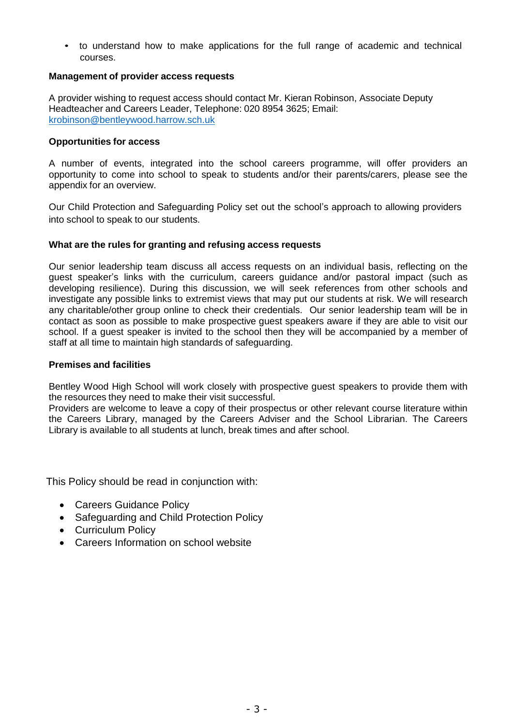• to understand how to make applications for the full range of academic and technical courses.

#### **Management of provider access requests**

A provider wishing to request access should contact Mr. Kieran Robinson, Associate Deputy Headteacher and Careers Leader, Telephone: 020 8954 3625; Email: [krobinson@bentleywood.harrow.sch.uk](mailto:krobinson@bentleywood.harrow.sch.uk)

#### **Opportunities for access**

A number of events, integrated into the school careers programme, will offer providers an opportunity to come into school to speak to students and/or their parents/carers, please see the appendix for an overview.

Our Child Protection and Safeguarding Policy set out the school's approach to allowing providers into school to speak to our students.

#### **What are the rules for granting and refusing access requests**

Our senior leadership team discuss all access requests on an individual basis, reflecting on the guest speaker's links with the curriculum, careers guidance and/or pastoral impact (such as developing resilience). During this discussion, we will seek references from other schools and investigate any possible links to extremist views that may put our students at risk. We will research any charitable/other group online to check their credentials. Our senior leadership team will be in contact as soon as possible to make prospective guest speakers aware if they are able to visit our school. If a guest speaker is invited to the school then they will be accompanied by a member of staff at all time to maintain high standards of safeguarding.

#### **Premises and facilities**

Bentley Wood High School will work closely with prospective guest speakers to provide them with the resources they need to make their visit successful.

Providers are welcome to leave a copy of their prospectus or other relevant course literature within the Careers Library, managed by the Careers Adviser and the School Librarian. The Careers Library is available to all students at lunch, break times and after school.

This Policy should be read in conjunction with:

- Careers Guidance Policy
- Safeguarding and Child Protection Policy
- Curriculum Policy
- Careers Information on school website